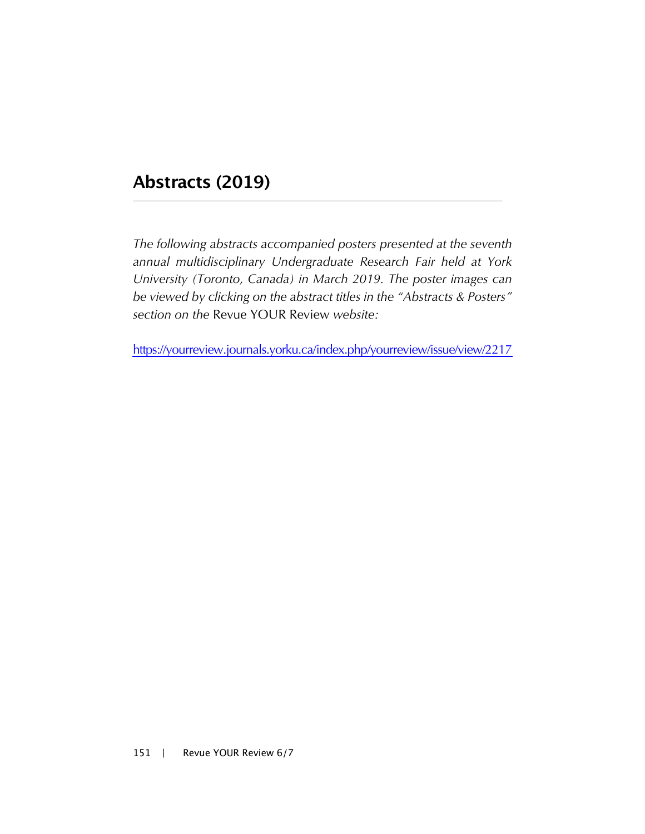## **Abstracts (2019)**

*The following abstracts accompanied posters presented at the seventh annual multidisciplinary Undergraduate Research Fair held at York University (Toronto, Canada) in March 2019. The poster images can be viewed by clicking on the abstract titles in the "Abstracts & Posters" section on the* Revue YOUR Review *website:* 

[https://yourreview.journals.yorku.ca/index.php/yourreview/issue/view/221](https://yourreview.journals.yorku.ca/index.php/yourreview/issue/view/2217)7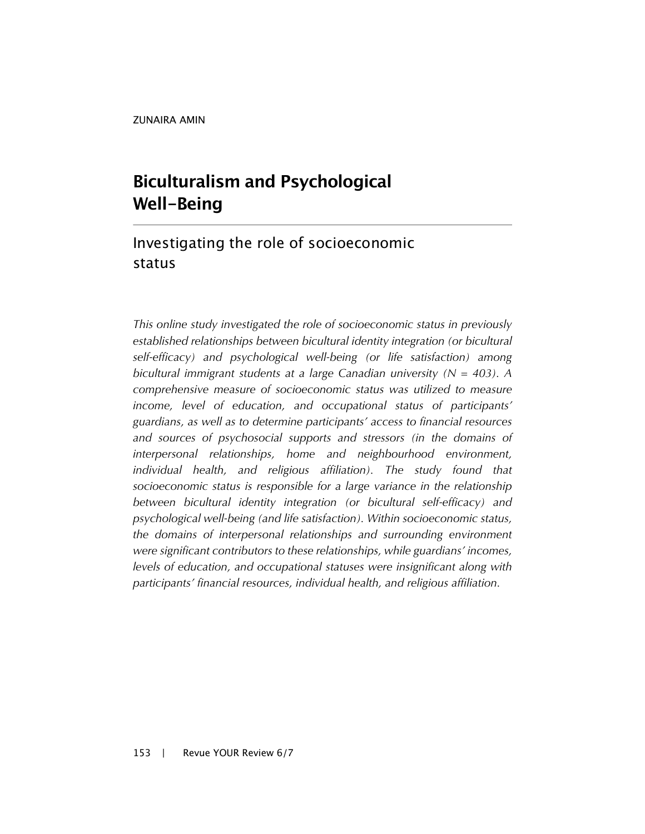ZUNAIRA AMIN

# **Biculturalism and Psychological Well-Being**

### Investigating the role of socioeconomic status

*This online study investigated the role of socioeconomic status in previously established relationships between bicultural identity integration (or bicultural self-efficacy) and psychological well-being (or life satisfaction) among bicultural immigrant students at a large Canadian university (N = 403). A comprehensive measure of socioeconomic status was utilized to measure income, level of education, and occupational status of participants' guardians, as well as to determine participants' access to financial resources and sources of psychosocial supports and stressors (in the domains of interpersonal relationships, home and neighbourhood environment, individual health, and religious affiliation). The study found that socioeconomic status is responsible for a large variance in the relationship between bicultural identity integration (or bicultural self-efficacy) and psychological well-being (and life satisfaction). Within socioeconomic status, the domains of interpersonal relationships and surrounding environment were significant contributors to these relationships, while guardians' incomes, levels of education, and occupational statuses were insignificant along with participants' financial resources, individual health, and religious affiliation.*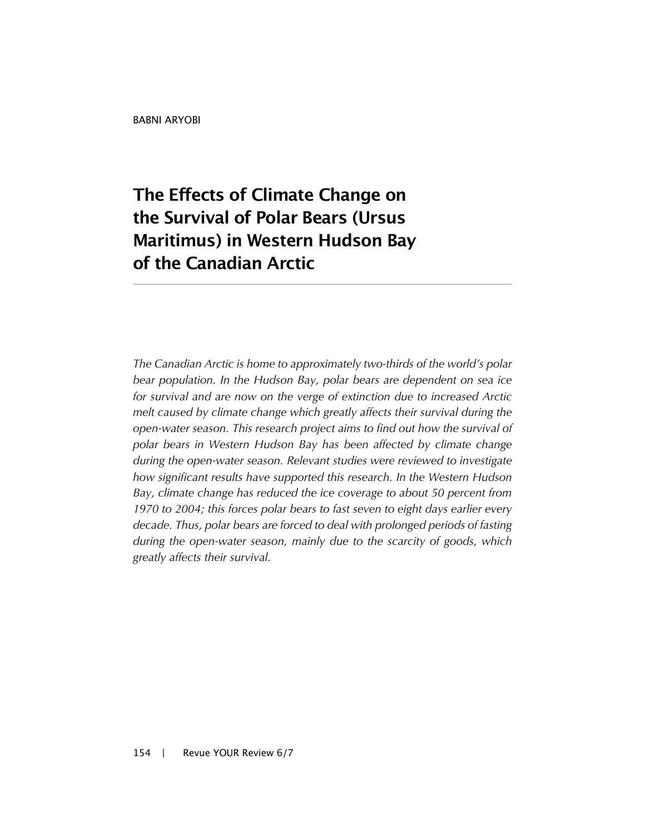# **The Effects of Climate Change on the Survival of Polar Bears (Ursus Maritimus) in Western Hudson Bay of the Canadian Arctic**

*The Canadian Arctic is home to approximately two-thirds of the world's polar bear population. In the Hudson Bay, polar bears are dependent on sea ice for survival and are now on the verge of extinction due to increased Arctic melt caused by climate change which greatly affects their survival during the open-water season. This research project aims to find out how the survival of polar bears in Western Hudson Bay has been affected by climate change during the open-water season. Relevant studies were reviewed to investigate how significant results have supported this research. In the Western Hudson Bay, climate change has reduced the ice coverage to about 50 percent from 1970 to 2004; this forces polar bears to fast seven to eight days earlier every decade. Thus, polar bears are forced to deal with prolonged periods of fasting during the open-water season, mainly due to the scarcity of goods, which greatly affects their survival.*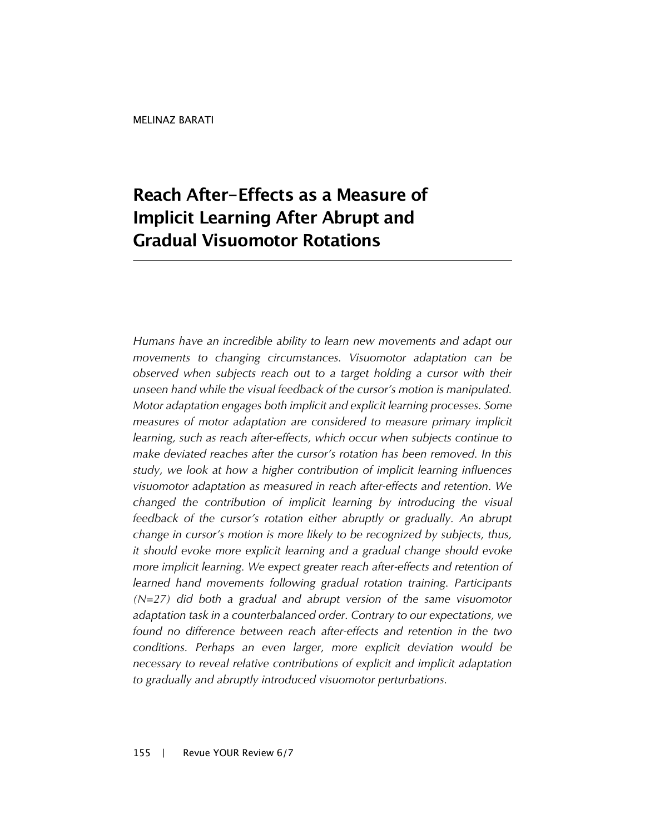# **Reach After-Effects as a Measure of Implicit Learning After Abrupt and Gradual Visuomotor Rotations**

*Humans have an incredible ability to learn new movements and adapt our movements to changing circumstances. Visuomotor adaptation can be observed when subjects reach out to a target holding a cursor with their unseen hand while the visual feedback of the cursor's motion is manipulated. Motor adaptation engages both implicit and explicit learning processes. Some measures of motor adaptation are considered to measure primary implicit learning, such as reach after-effects, which occur when subjects continue to make deviated reaches after the cursor's rotation has been removed. In this study, we look at how a higher contribution of implicit learning influences visuomotor adaptation as measured in reach after-effects and retention. We changed the contribution of implicit learning by introducing the visual feedback of the cursor's rotation either abruptly or gradually. An abrupt change in cursor's motion is more likely to be recognized by subjects, thus, it should evoke more explicit learning and a gradual change should evoke more implicit learning. We expect greater reach after-effects and retention of learned hand movements following gradual rotation training. Participants (N=27) did both a gradual and abrupt version of the same visuomotor adaptation task in a counterbalanced order. Contrary to our expectations, we found no difference between reach after-effects and retention in the two conditions. Perhaps an even larger, more explicit deviation would be necessary to reveal relative contributions of explicit and implicit adaptation to gradually and abruptly introduced visuomotor perturbations.*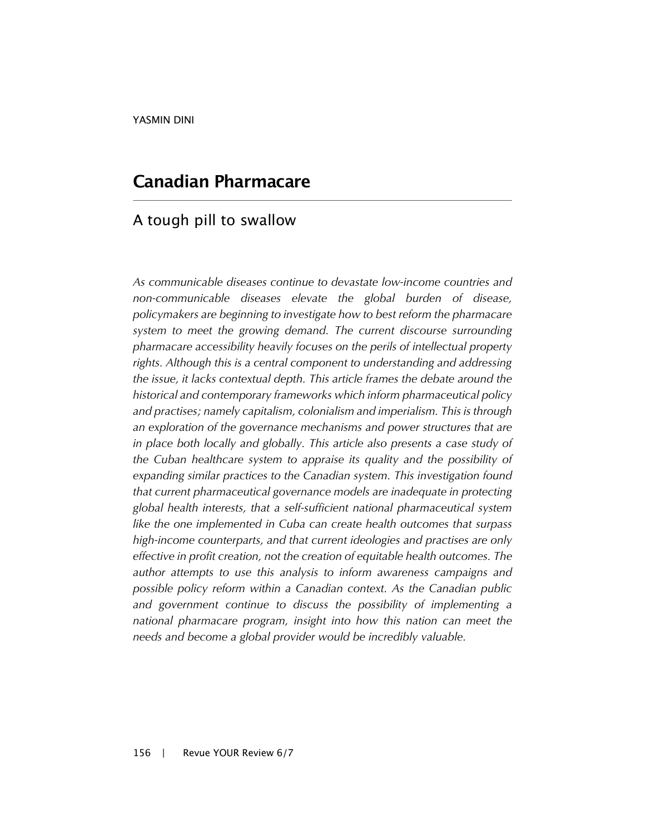### **Canadian Pharmacare**

#### A tough pill to swallow

*As communicable diseases continue to devastate low-income countries and non-communicable diseases elevate the global burden of disease, policymakers are beginning to investigate how to best reform the pharmacare system to meet the growing demand. The current discourse surrounding pharmacare accessibility heavily focuses on the perils of intellectual property rights. Although this is a central component to understanding and addressing the issue, it lacks contextual depth. This article frames the debate around the historical and contemporary frameworks which inform pharmaceutical policy and practises; namely capitalism, colonialism and imperialism. This is through an exploration of the governance mechanisms and power structures that are*  in place both locally and globally. This article also presents a case study of *the Cuban healthcare system to appraise its quality and the possibility of expanding similar practices to the Canadian system. This investigation found that current pharmaceutical governance models are inadequate in protecting global health interests, that a self-sufficient national pharmaceutical system like the one implemented in Cuba can create health outcomes that surpass high-income counterparts, and that current ideologies and practises are only effective in profit creation, not the creation of equitable health outcomes. The author attempts to use this analysis to inform awareness campaigns and possible policy reform within a Canadian context. As the Canadian public and government continue to discuss the possibility of implementing a national pharmacare program, insight into how this nation can meet the needs and become a global provider would be incredibly valuable.*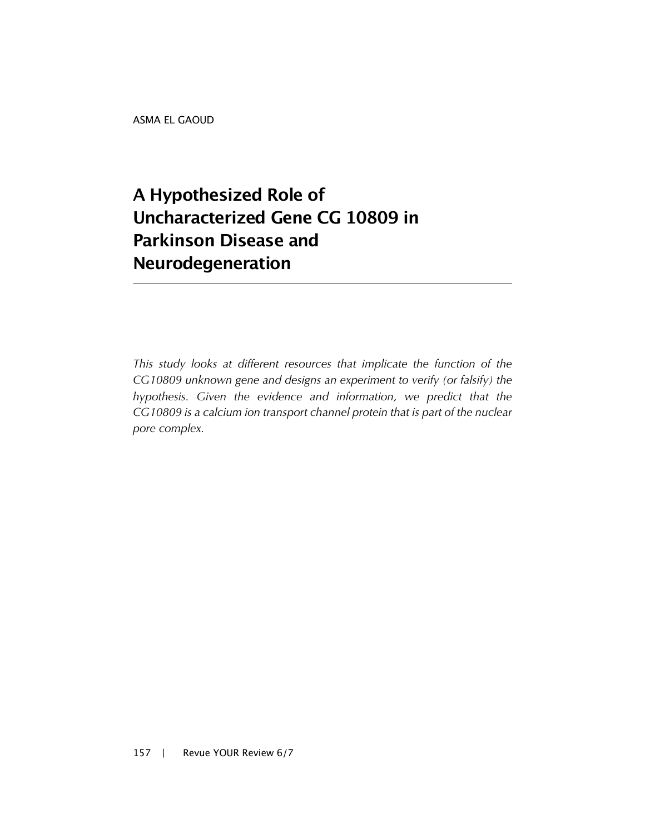ASMA EL GAOUD

# **A Hypothesized Role of Uncharacterized Gene CG 10809 in Parkinson Disease and Neurodegeneration**

*This study looks at different resources that implicate the function of the CG10809 unknown gene and designs an experiment to verify (or falsify) the hypothesis. Given the evidence and information, we predict that the CG10809 is a calcium ion transport channel protein that is part of the nuclear pore complex.*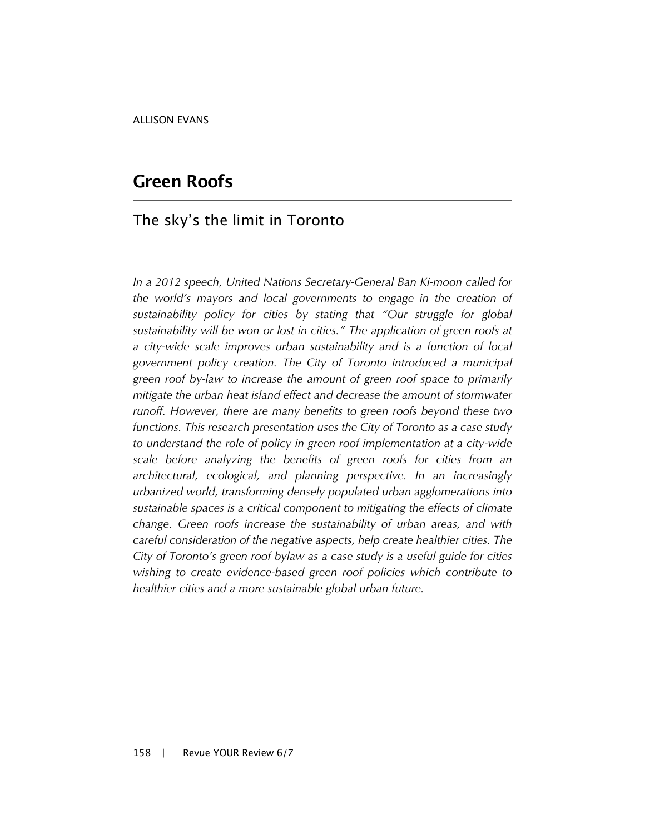#### **Green Roofs**

#### The sky's the limit in Toronto

*In a 2012 speech, United Nations Secretary-General Ban Ki-moon called for the world's mayors and local governments to engage in the creation of sustainability policy for cities by stating that "Our struggle for global sustainability will be won or lost in cities." The application of green roofs at a city-wide scale improves urban sustainability and is a function of local government policy creation. The City of Toronto introduced a municipal green roof by-law to increase the amount of green roof space to primarily mitigate the urban heat island effect and decrease the amount of stormwater runoff. However, there are many benefits to green roofs beyond these two functions. This research presentation uses the City of Toronto as a case study to understand the role of policy in green roof implementation at a city-wide scale before analyzing the benefits of green roofs for cities from an architectural, ecological, and planning perspective. In an increasingly urbanized world, transforming densely populated urban agglomerations into sustainable spaces is a critical component to mitigating the effects of climate change. Green roofs increase the sustainability of urban areas, and with careful consideration of the negative aspects, help create healthier cities. The City of Toronto's green roof bylaw as a case study is a useful guide for cities wishing to create evidence-based green roof policies which contribute to healthier cities and a more sustainable global urban future.*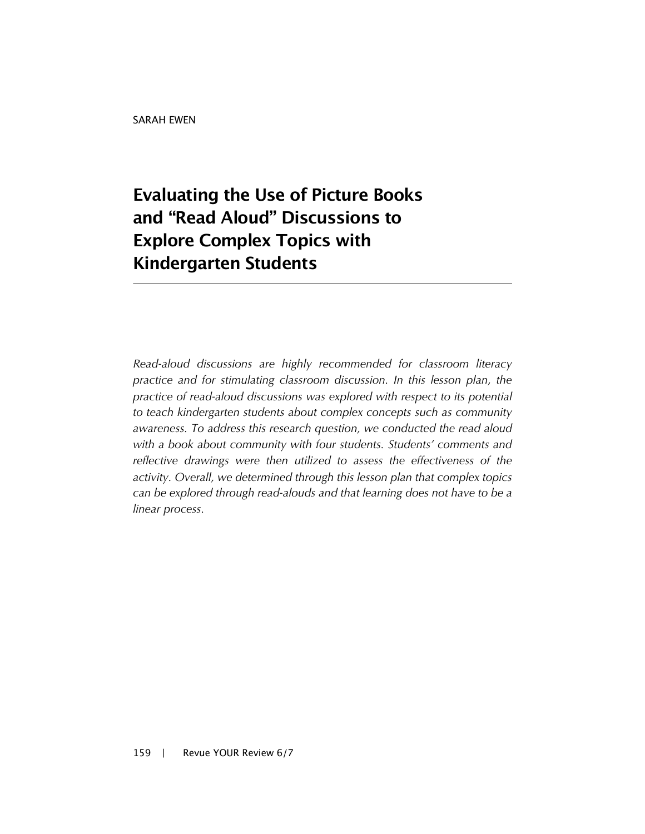# **Evaluating the Use of Picture Books and "Read Aloud" Discussions to Explore Complex Topics with Kindergarten Students**

*Read-aloud discussions are highly recommended for classroom literacy practice and for stimulating classroom discussion. In this lesson plan, the practice of read-aloud discussions was explored with respect to its potential to teach kindergarten students about complex concepts such as community awareness. To address this research question, we conducted the read aloud with a book about community with four students. Students' comments and reflective drawings were then utilized to assess the effectiveness of the activity. Overall, we determined through this lesson plan that complex topics can be explored through read-alouds and that learning does not have to be a linear process.*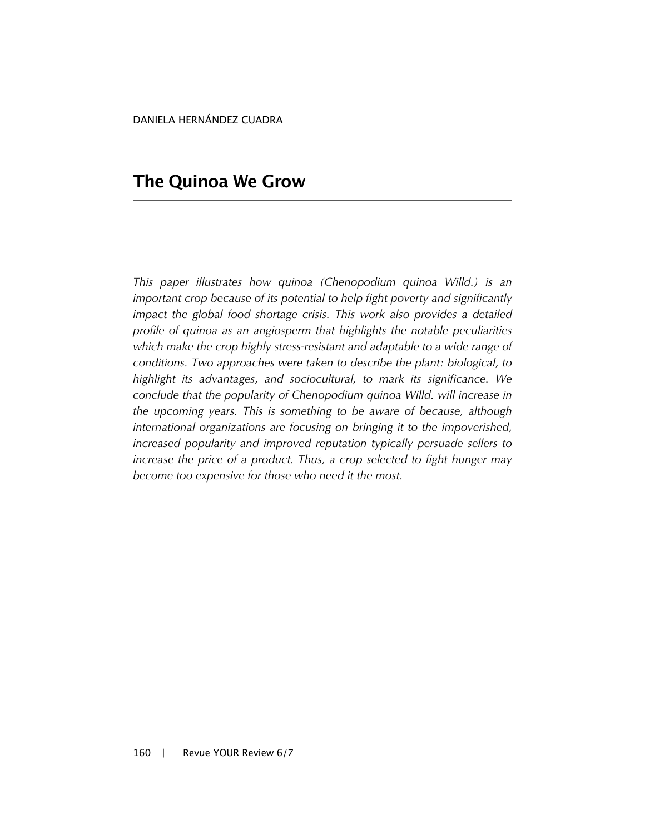DANIELA HERNÁNDEZ CUADRA

### **The Quinoa We Grow**

*This paper illustrates how quinoa (Chenopodium quinoa Willd.) is an important crop because of its potential to help fight poverty and significantly impact the global food shortage crisis. This work also provides a detailed profile of quinoa as an angiosperm that highlights the notable peculiarities which make the crop highly stress-resistant and adaptable to a wide range of conditions. Two approaches were taken to describe the plant: biological, to highlight its advantages, and sociocultural, to mark its significance. We conclude that the popularity of Chenopodium quinoa Willd. will increase in the upcoming years. This is something to be aware of because, although international organizations are focusing on bringing it to the impoverished, increased popularity and improved reputation typically persuade sellers to increase the price of a product. Thus, a crop selected to fight hunger may become too expensive for those who need it the most.*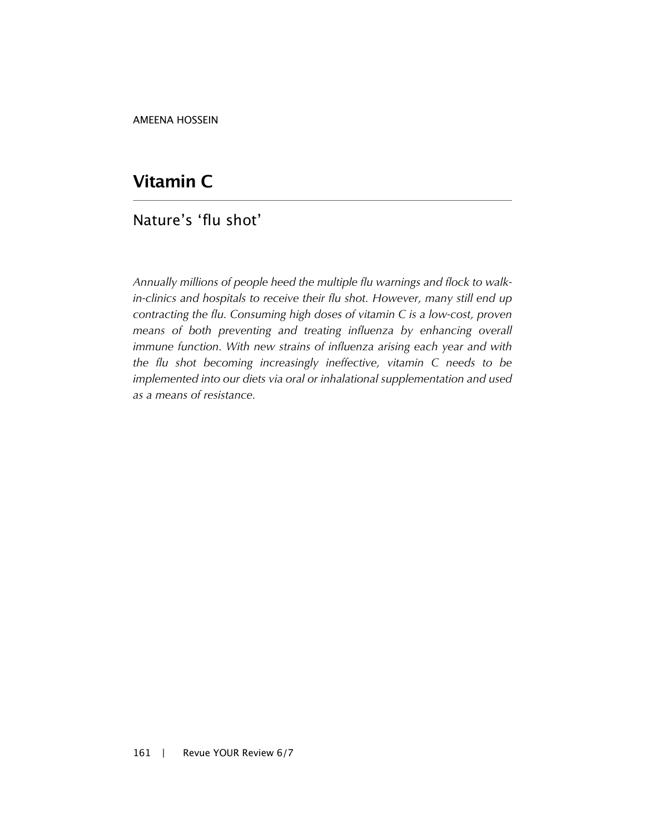AMEENA HOSSEIN

## **Vitamin C**

#### Nature's 'flu shot'

*Annually millions of people heed the multiple flu warnings and flock to walkin-clinics and hospitals to receive their flu shot. However, many still end up contracting the flu. Consuming high doses of vitamin C is a low-cost, proven means of both preventing and treating influenza by enhancing overall immune function. With new strains of influenza arising each year and with the flu shot becoming increasingly ineffective, vitamin C needs to be implemented into our diets via oral or inhalational supplementation and used as a means of resistance.*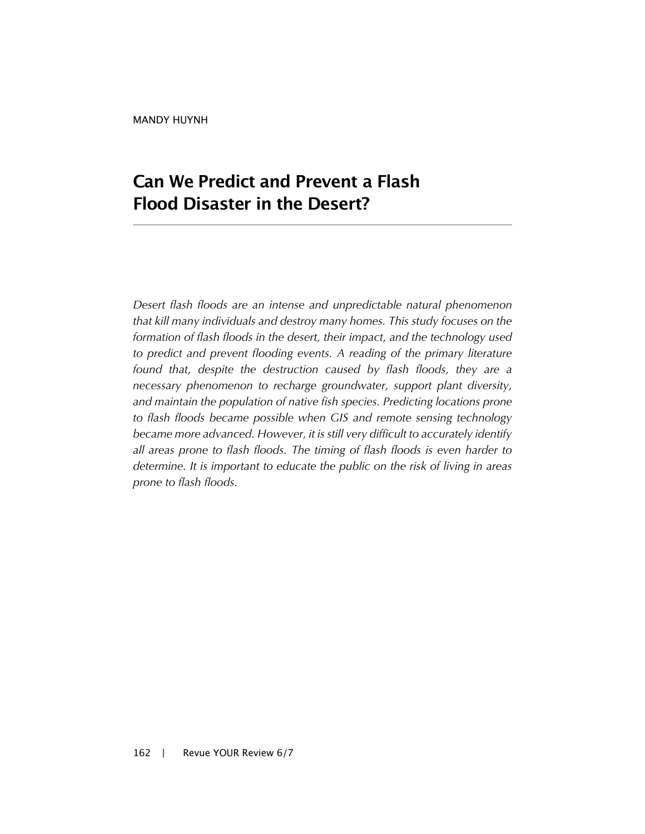# **Can We Predict and Prevent a Flash Flood Disaster in the Desert?**

*Desert flash floods are an intense and unpredictable natural phenomenon that kill many individuals and destroy many homes. This study focuses on the formation of flash floods in the desert, their impact, and the technology used*  to predict and prevent flooding events. A reading of the primary literature *found that, despite the destruction caused by flash floods, they are a necessary phenomenon to recharge groundwater, support plant diversity, and maintain the population of native fish species. Predicting locations prone to flash floods became possible when GIS and remote sensing technology*  became more advanced. However, it is still very difficult to accurately identify *all areas prone to flash floods. The timing of flash floods is even harder to determine. It is important to educate the public on the risk of living in areas prone to flash floods.*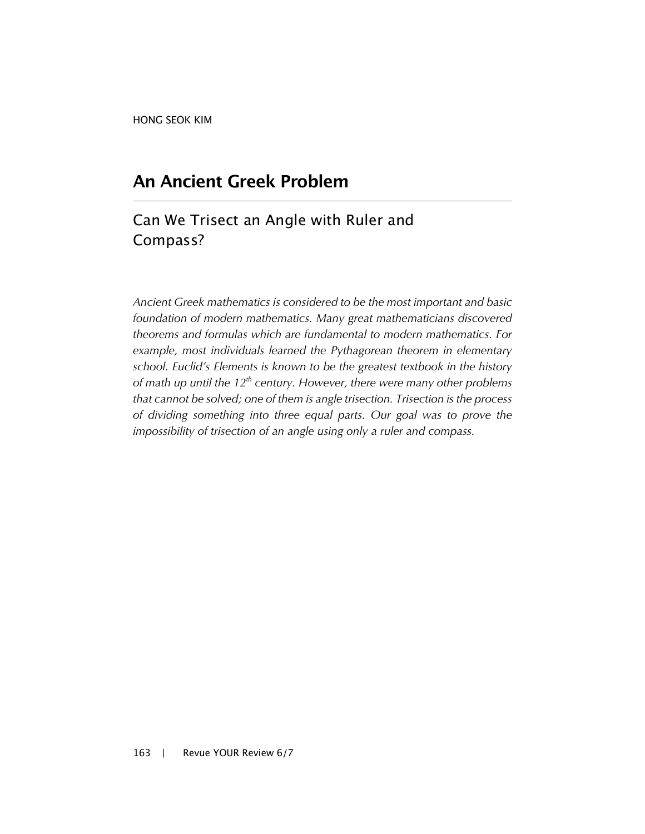HONG SEOK KIM

## **An Ancient Greek Problem**

### Can We Trisect an Angle with Ruler and Compass?

*Ancient Greek mathematics is considered to be the most important and basic foundation of modern mathematics. Many great mathematicians discovered theorems and formulas which are fundamental to modern mathematics. For example, most individuals learned the Pythagorean theorem in elementary school. Euclid's Elements is known to be the greatest textbook in the history of math up until the 12th century. However, there were many other problems that cannot be solved; one of them is angle trisection. Trisection is the process of dividing something into three equal parts. Our goal was to prove the impossibility of trisection of an angle using only a ruler and compass.*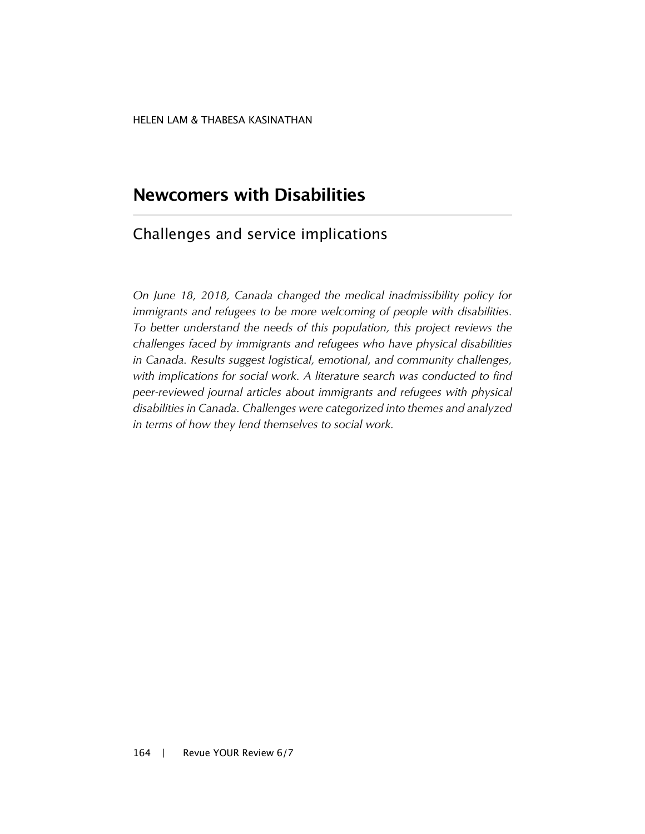## **Newcomers with Disabilities**

#### Challenges and service implications

*On June 18, 2018, Canada changed the medical inadmissibility policy for immigrants and refugees to be more welcoming of people with disabilities. To better understand the needs of this population, this project reviews the challenges faced by immigrants and refugees who have physical disabilities in Canada. Results suggest logistical, emotional, and community challenges, with implications for social work. A literature search was conducted to find peer-reviewed journal articles about immigrants and refugees with physical disabilities in Canada. Challenges were categorized into themes and analyzed in terms of how they lend themselves to social work.*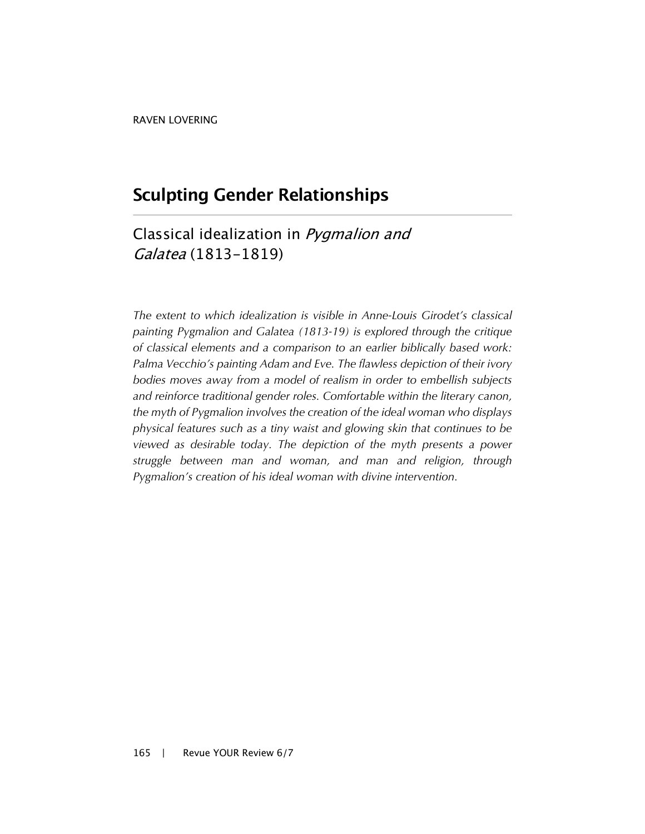## **Sculpting Gender Relationships**

### Classical idealization in Pygmalion and Galatea (1813-1819)

*The extent to which idealization is visible in Anne-Louis Girodet's classical painting Pygmalion and Galatea (1813-19) is explored through the critique of classical elements and a comparison to an earlier biblically based work: Palma Vecchio's painting Adam and Eve. The flawless depiction of their ivory bodies moves away from a model of realism in order to embellish subjects and reinforce traditional gender roles. Comfortable within the literary canon, the myth of Pygmalion involves the creation of the ideal woman who displays physical features such as a tiny waist and glowing skin that continues to be viewed as desirable today. The depiction of the myth presents a power struggle between man and woman, and man and religion, through Pygmalion's creation of his ideal woman with divine intervention.*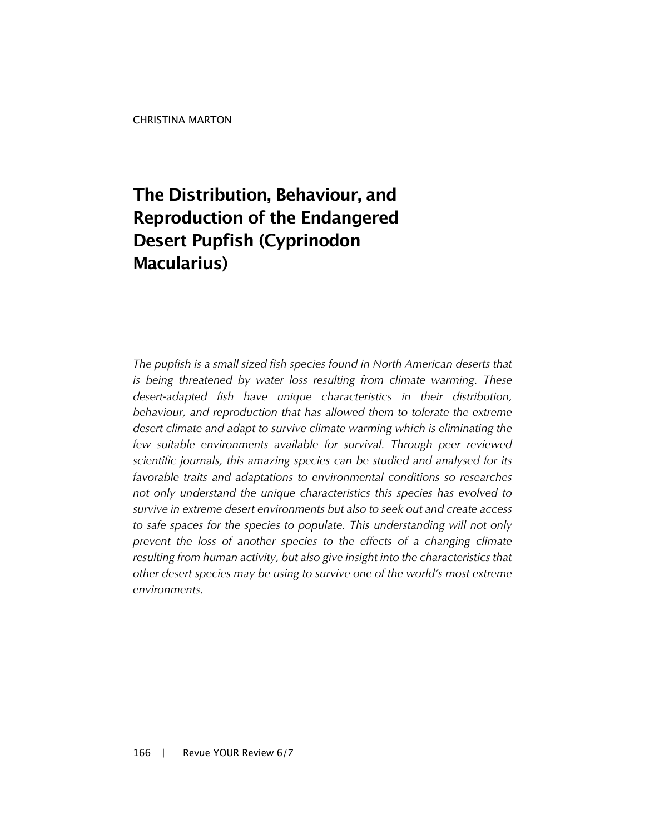# **The Distribution, Behaviour, and Reproduction of the Endangered Desert Pupfish (Cyprinodon Macularius)**

*The pupfish is a small sized fish species found in North American deserts that is being threatened by water loss resulting from climate warming. These desert-adapted fish have unique characteristics in their distribution, behaviour, and reproduction that has allowed them to tolerate the extreme desert climate and adapt to survive climate warming which is eliminating the few suitable environments available for survival. Through peer reviewed scientific journals, this amazing species can be studied and analysed for its favorable traits and adaptations to environmental conditions so researches not only understand the unique characteristics this species has evolved to survive in extreme desert environments but also to seek out and create access to safe spaces for the species to populate. This understanding will not only prevent the loss of another species to the effects of a changing climate resulting from human activity, but also give insight into the characteristics that other desert species may be using to survive one of the world's most extreme environments.*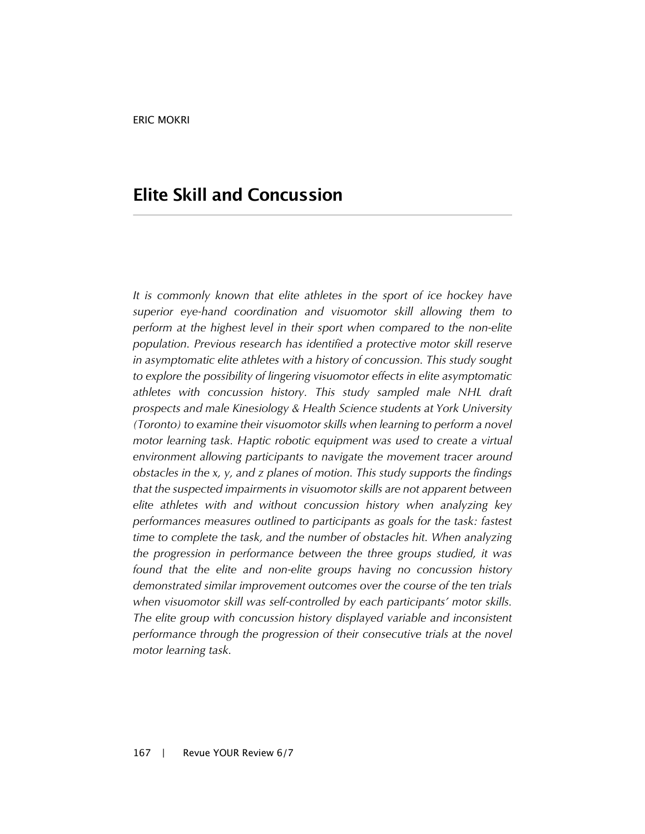### **Elite Skill and Concussion**

*It is commonly known that elite athletes in the sport of ice hockey have superior eye-hand coordination and visuomotor skill allowing them to perform at the highest level in their sport when compared to the non-elite population. Previous research has identified a protective motor skill reserve in asymptomatic elite athletes with a history of concussion. This study sought to explore the possibility of lingering visuomotor effects in elite asymptomatic athletes with concussion history. This study sampled male NHL draft prospects and male Kinesiology & Health Science students at York University (Toronto) to examine their visuomotor skills when learning to perform a novel motor learning task. Haptic robotic equipment was used to create a virtual environment allowing participants to navigate the movement tracer around obstacles in the x, y, and z planes of motion. This study supports the findings that the suspected impairments in visuomotor skills are not apparent between elite athletes with and without concussion history when analyzing key performances measures outlined to participants as goals for the task: fastest time to complete the task, and the number of obstacles hit. When analyzing the progression in performance between the three groups studied, it was found that the elite and non-elite groups having no concussion history demonstrated similar improvement outcomes over the course of the ten trials when visuomotor skill was self-controlled by each participants' motor skills. The elite group with concussion history displayed variable and inconsistent performance through the progression of their consecutive trials at the novel motor learning task.*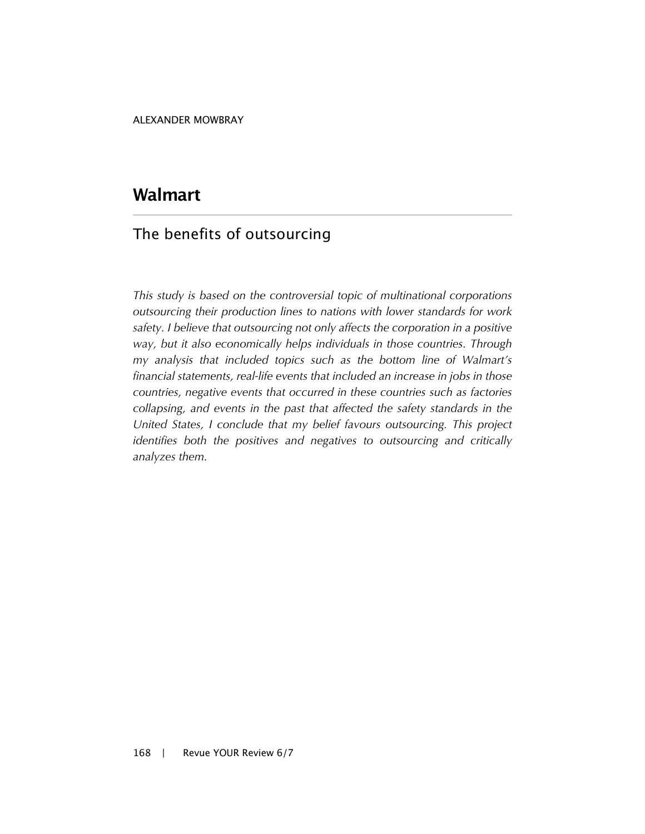## **Walmart**

### The benefits of outsourcing

*This study is based on the controversial topic of multinational corporations outsourcing their production lines to nations with lower standards for work safety. I believe that outsourcing not only affects the corporation in a positive way, but it also economically helps individuals in those countries. Through my analysis that included topics such as the bottom line of Walmart's financial statements, real-life events that included an increase in jobs in those countries, negative events that occurred in these countries such as factories collapsing, and events in the past that affected the safety standards in the United States, I conclude that my belief favours outsourcing. This project identifies both the positives and negatives to outsourcing and critically analyzes them.*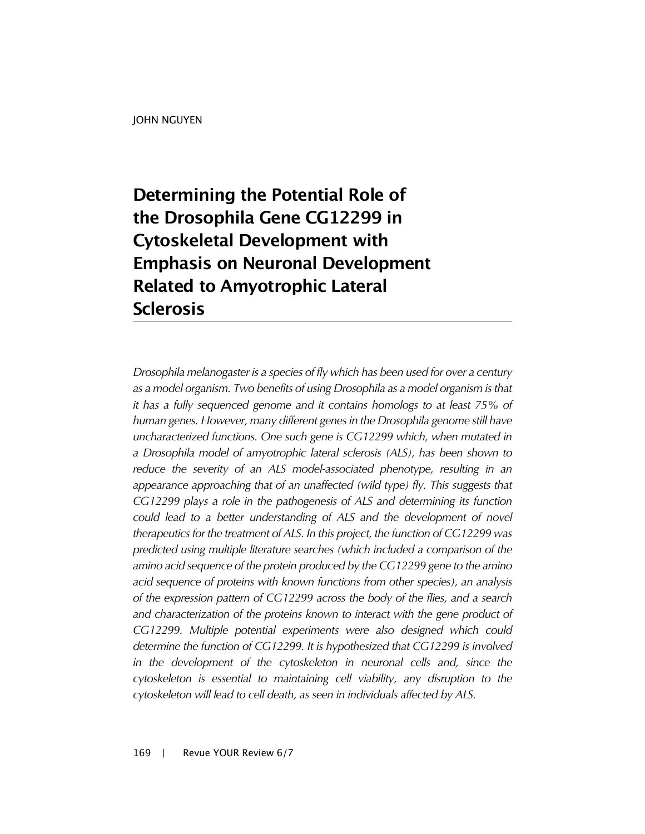# **Determining the Potential Role of the Drosophila Gene CG12299 in Cytoskeletal Development with Emphasis on Neuronal Development Related to Amyotrophic Lateral Sclerosis**

*Drosophila melanogaster is a species of fly which has been used for over a century as a model organism. Two benefits of using Drosophila as a model organism is that it has a fully sequenced genome and it contains homologs to at least 75% of human genes. However, many different genes in the Drosophila genome still have uncharacterized functions. One such gene is CG12299 which, when mutated in a Drosophila model of amyotrophic lateral sclerosis (ALS), has been shown to*  reduce the severity of an ALS model-associated phenotype, resulting in an *appearance approaching that of an unaffected (wild type) fly. This suggests that CG12299 plays a role in the pathogenesis of ALS and determining its function could lead to a better understanding of ALS and the development of novel therapeutics for the treatment of ALS. In this project, the function of CG12299 was predicted using multiple literature searches (which included a comparison of the amino acid sequence of the protein produced by the CG12299 gene to the amino acid sequence of proteins with known functions from other species), an analysis of the expression pattern of CG12299 across the body of the flies, and a search and characterization of the proteins known to interact with the gene product of CG12299. Multiple potential experiments were also designed which could determine the function of CG12299. It is hypothesized that CG12299 is involved*  in the development of the cytoskeleton in neuronal cells and, since the *cytoskeleton is essential to maintaining cell viability, any disruption to the cytoskeleton will lead to cell death, as seen in individuals affected by ALS.*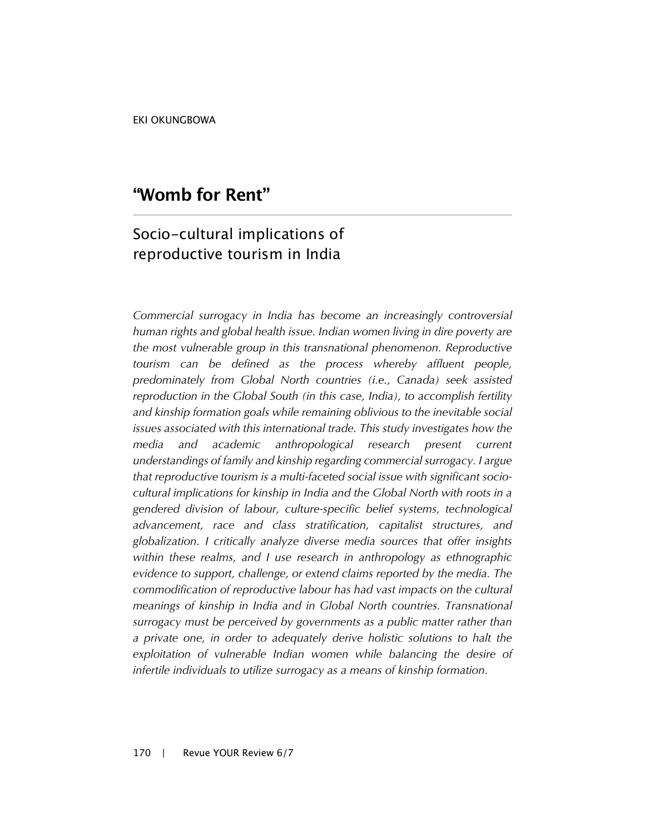EKI OKUNGBOWA

### **"Womb for Rent"**

### Socio-cultural implications of reproductive tourism in India

*Commercial surrogacy in India has become an increasingly controversial human rights and global health issue. Indian women living in dire poverty are the most vulnerable group in this transnational phenomenon. Reproductive tourism can be defined as the process whereby affluent people, predominately from Global North countries (i.e., Canada) seek assisted reproduction in the Global South (in this case, India), to accomplish fertility and kinship formation goals while remaining oblivious to the inevitable social issues associated with this international trade. This study investigates how the media and academic anthropological research present current understandings of family and kinship regarding commercial surrogacy. I argue that reproductive tourism is a multi-faceted social issue with significant sociocultural implications for kinship in India and the Global North with roots in a gendered division of labour, culture-specific belief systems, technological advancement, race and class stratification, capitalist structures, and globalization. I critically analyze diverse media sources that offer insights within these realms, and I use research in anthropology as ethnographic evidence to support, challenge, or extend claims reported by the media. The commodification of reproductive labour has had vast impacts on the cultural meanings of kinship in India and in Global North countries. Transnational surrogacy must be perceived by governments as a public matter rather than a private one, in order to adequately derive holistic solutions to halt the exploitation of vulnerable Indian women while balancing the desire of infertile individuals to utilize surrogacy as a means of kinship formation.*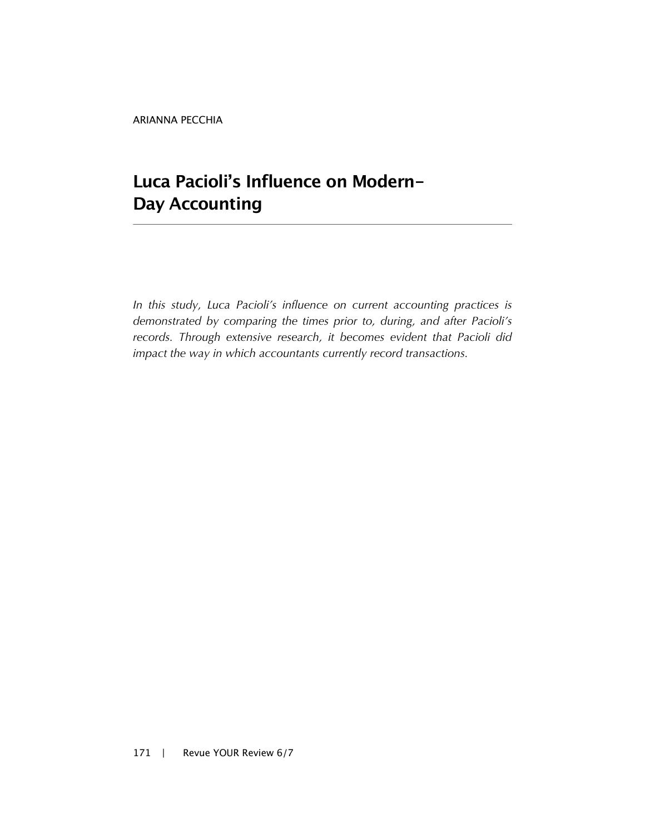ARIANNA PECCHIA

# **Luca Pacioli's Influence on Modern-Day Accounting**

*In this study, Luca Pacioli's influence on current accounting practices is demonstrated by comparing the times prior to, during, and after Pacioli's records. Through extensive research, it becomes evident that Pacioli did impact the way in which accountants currently record transactions.*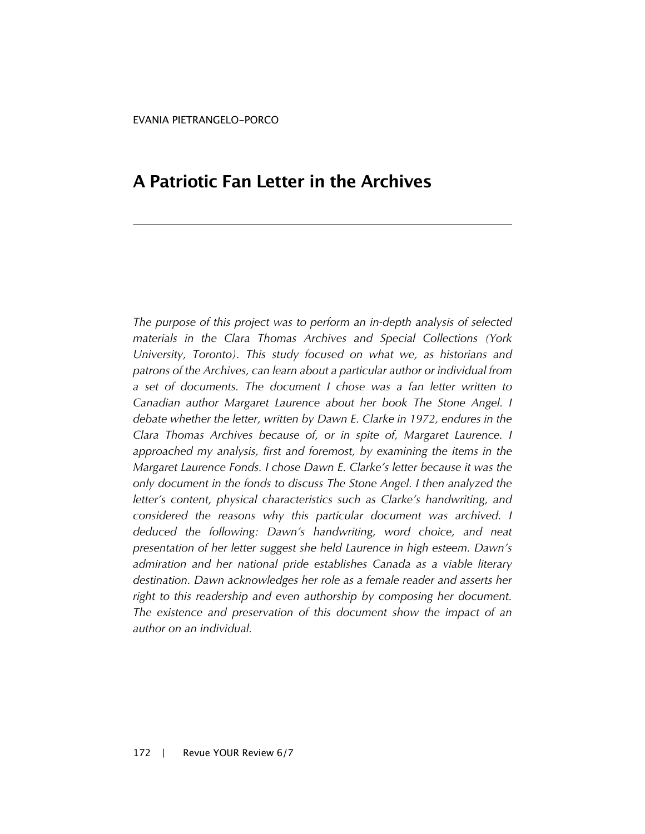## **A Patriotic Fan Letter in the Archives**

*The purpose of this project was to perform an in-depth analysis of selected materials in the Clara Thomas Archives and Special Collections (York University, Toronto). This study focused on what we, as historians and patrons of the Archives, can learn about a particular author or individual from a set of documents. The document I chose was a fan letter written to Canadian author Margaret Laurence about her book The Stone Angel. I debate whether the letter, written by Dawn E. Clarke in 1972, endures in the Clara Thomas Archives because of, or in spite of, Margaret Laurence. I*  approached my analysis, first and foremost, by examining the items in the *Margaret Laurence Fonds. I chose Dawn E. Clarke's letter because it was the only document in the fonds to discuss The Stone Angel. I then analyzed the letter's content, physical characteristics such as Clarke's handwriting, and considered the reasons why this particular document was archived. I deduced the following: Dawn's handwriting, word choice, and neat presentation of her letter suggest she held Laurence in high esteem. Dawn's admiration and her national pride establishes Canada as a viable literary destination. Dawn acknowledges her role as a female reader and asserts her right to this readership and even authorship by composing her document. The existence and preservation of this document show the impact of an author on an individual.*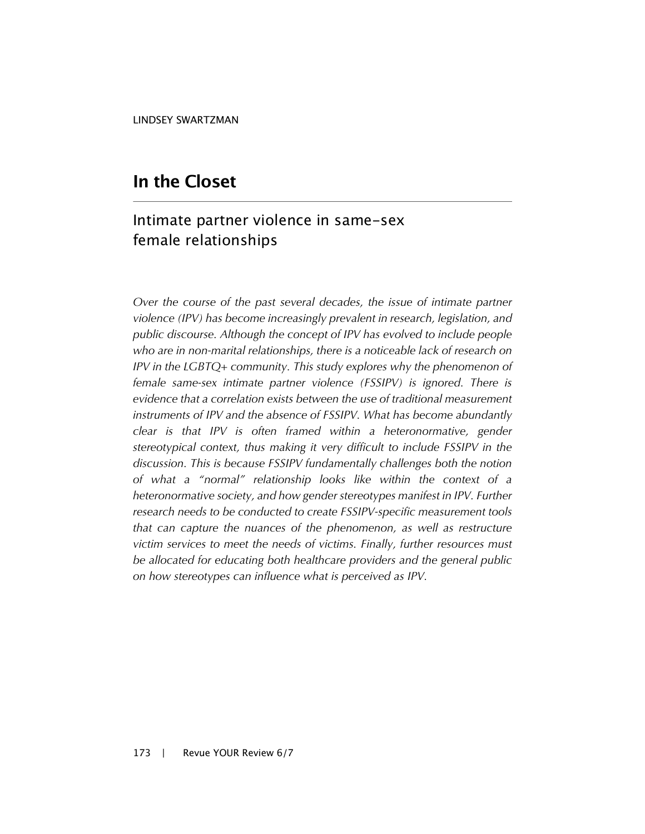### **In the Closet**

### Intimate partner violence in same-sex female relationships

*Over the course of the past several decades, the issue of intimate partner violence (IPV) has become increasingly prevalent in research, legislation, and public discourse. Although the concept of IPV has evolved to include people who are in non-marital relationships, there is a noticeable lack of research on IPV in the LGBTQ+ community. This study explores why the phenomenon of female same-sex intimate partner violence (FSSIPV) is ignored. There is evidence that a correlation exists between the use of traditional measurement instruments of IPV and the absence of FSSIPV. What has become abundantly clear is that IPV is often framed within a heteronormative, gender stereotypical context, thus making it very difficult to include FSSIPV in the discussion. This is because FSSIPV fundamentally challenges both the notion of what a "normal" relationship looks like within the context of a heteronormative society, and how gender stereotypes manifest in IPV. Further research needs to be conducted to create FSSIPV-specific measurement tools that can capture the nuances of the phenomenon, as well as restructure victim services to meet the needs of victims. Finally, further resources must be allocated for educating both healthcare providers and the general public on how stereotypes can influence what is perceived as IPV.*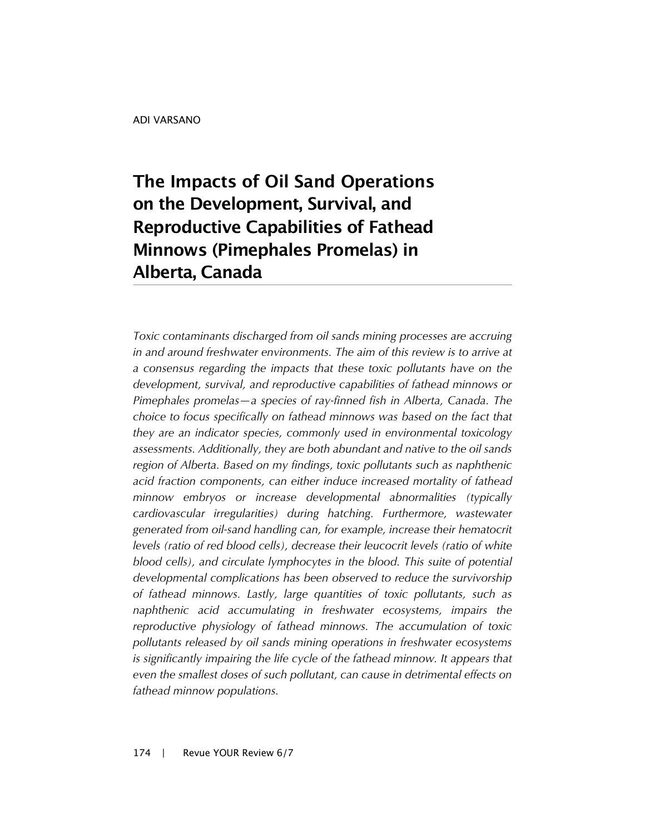# **The Impacts of Oil Sand Operations on the Development, Survival, and Reproductive Capabilities of Fathead Minnows (Pimephales Promelas) in Alberta, Canada**

*Toxic contaminants discharged from oil sands mining processes are accruing in and around freshwater environments. The aim of this review is to arrive at a consensus regarding the impacts that these toxic pollutants have on the development, survival, and reproductive capabilities of fathead minnows or Pimephales promelas—a species of ray-finned fish in Alberta, Canada. The choice to focus specifically on fathead minnows was based on the fact that they are an indicator species, commonly used in environmental toxicology assessments. Additionally, they are both abundant and native to the oil sands region of Alberta. Based on my findings, toxic pollutants such as naphthenic acid fraction components, can either induce increased mortality of fathead minnow embryos or increase developmental abnormalities (typically cardiovascular irregularities) during hatching. Furthermore, wastewater generated from oil-sand handling can, for example, increase their hematocrit levels (ratio of red blood cells), decrease their leucocrit levels (ratio of white blood cells), and circulate lymphocytes in the blood. This suite of potential developmental complications has been observed to reduce the survivorship of fathead minnows. Lastly, large quantities of toxic pollutants, such as naphthenic acid accumulating in freshwater ecosystems, impairs the reproductive physiology of fathead minnows. The accumulation of toxic pollutants released by oil sands mining operations in freshwater ecosystems is significantly impairing the life cycle of the fathead minnow. It appears that even the smallest doses of such pollutant, can cause in detrimental effects on fathead minnow populations.*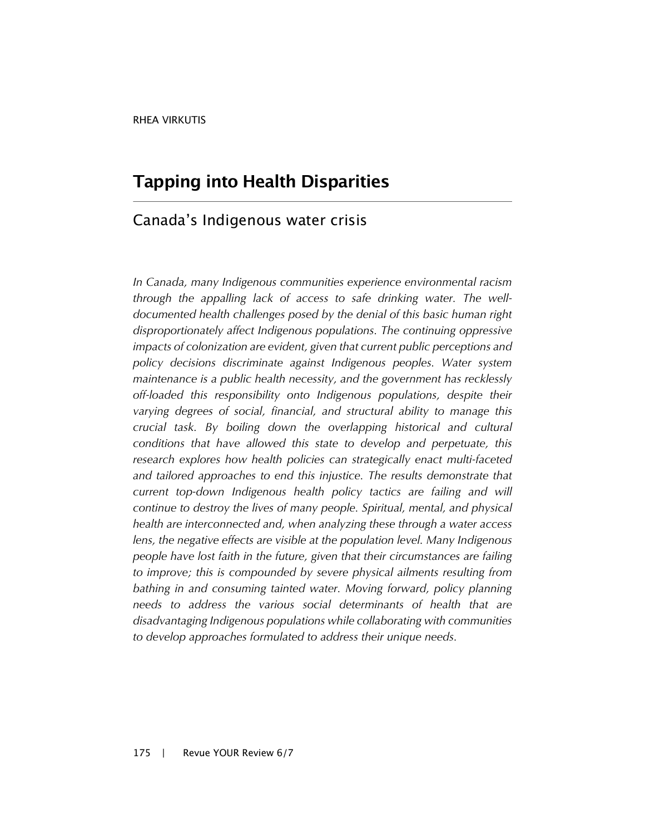#### **Tapping into Health Disparities**

#### Canada's Indigenous water crisis

*In Canada, many Indigenous communities experience environmental racism through the appalling lack of access to safe drinking water. The welldocumented health challenges posed by the denial of this basic human right disproportionately affect Indigenous populations. The continuing oppressive impacts of colonization are evident, given that current public perceptions and policy decisions discriminate against Indigenous peoples. Water system maintenance is a public health necessity, and the government has recklessly off-loaded this responsibility onto Indigenous populations, despite their varying degrees of social, financial, and structural ability to manage this crucial task. By boiling down the overlapping historical and cultural conditions that have allowed this state to develop and perpetuate, this research explores how health policies can strategically enact multi-faceted and tailored approaches to end this injustice. The results demonstrate that current top-down Indigenous health policy tactics are failing and will continue to destroy the lives of many people. Spiritual, mental, and physical health are interconnected and, when analyzing these through a water access lens, the negative effects are visible at the population level. Many Indigenous people have lost faith in the future, given that their circumstances are failing*  to improve; this is compounded by severe physical ailments resulting from *bathing in and consuming tainted water. Moving forward, policy planning needs to address the various social determinants of health that are disadvantaging Indigenous populations while collaborating with communities to develop approaches formulated to address their unique needs.*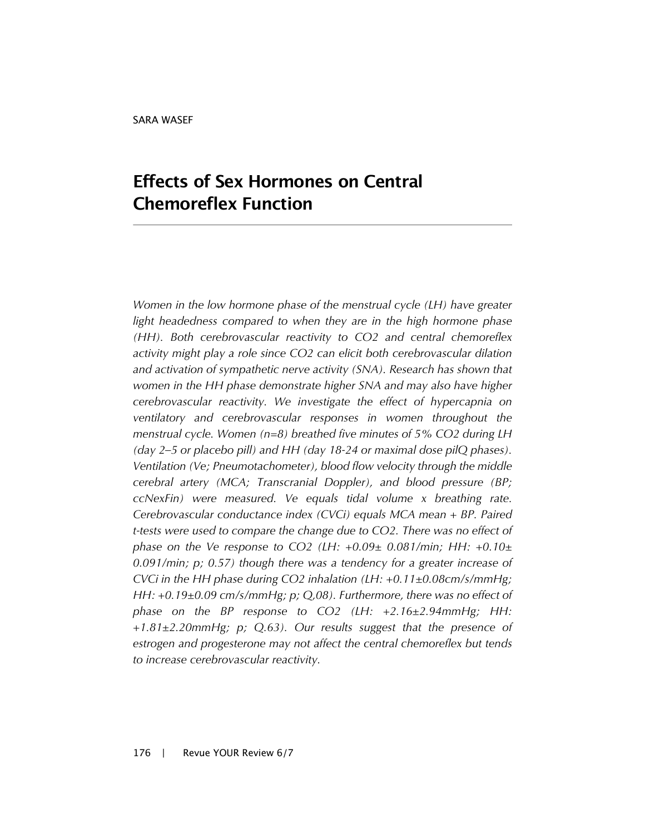## **Effects of Sex Hormones on Central Chemoreflex Function**

*Women in the low hormone phase of the menstrual cycle (LH) have greater light headedness compared to when they are in the high hormone phase (HH). Both cerebrovascular reactivity to CO2 and central chemoreflex activity might play a role since CO2 can elicit both cerebrovascular dilation and activation of sympathetic nerve activity (SNA). Research has shown that women in the HH phase demonstrate higher SNA and may also have higher cerebrovascular reactivity. We investigate the effect of hypercapnia on ventilatory and cerebrovascular responses in women throughout the menstrual cycle. Women (n=8) breathed five minutes of 5% CO2 during LH (day 2–5 or placebo pill) and HH (day 18-24 or maximal dose pilQ phases). Ventilation (Ve; Pneumotachometer), blood flow velocity through the middle cerebral artery (MCA; Transcranial Doppler), and blood pressure (BP; ccNexFin) were measured. Ve equals tidal volume x breathing rate. Cerebrovascular conductance index (CVCi) equals MCA mean + BP. Paired t-tests were used to compare the change due to CO2. There was no effect of phase on the Ve response to CO2 (LH: +0.09± 0.081/min; HH: +0.10± 0.091/min; p; 0.57) though there was a tendency for a greater increase of CVCi in the HH phase during CO2 inhalation (LH: +0.11±0.08cm/s/mmHg; HH: +0.19±0.09 cm/s/mmHg; p; Q,08). Furthermore, there was no effect of phase on the BP response to CO2 (LH: +2.16±2.94mmHg; HH: +1.81±2.20mmHg; p; Q.63). Our results suggest that the presence of estrogen and progesterone may not affect the central chemoreflex but tends to increase cerebrovascular reactivity.*